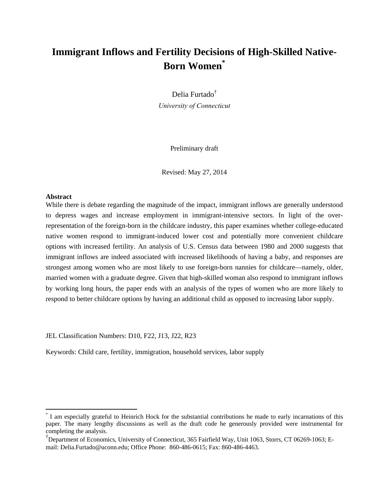# **Immigrant Inflows and Fertility Decisions of High-Skilled Native-Born Women\***

Delia Furtado† *University of Connecticut* 

Preliminary draft

Revised: May 27, 2014

#### **Abstract**

 $\overline{a}$ 

While there is debate regarding the magnitude of the impact, immigrant inflows are generally understood to depress wages and increase employment in immigrant-intensive sectors. In light of the overrepresentation of the foreign-born in the childcare industry, this paper examines whether college-educated native women respond to immigrant-induced lower cost and potentially more convenient childcare options with increased fertility. An analysis of U.S. Census data between 1980 and 2000 suggests that immigrant inflows are indeed associated with increased likelihoods of having a baby, and responses are strongest among women who are most likely to use foreign-born nannies for childcare—namely, older, married women with a graduate degree. Given that high-skilled woman also respond to immigrant inflows by working long hours, the paper ends with an analysis of the types of women who are more likely to respond to better childcare options by having an additional child as opposed to increasing labor supply.

JEL Classification Numbers: D10, F22, J13, J22, R23

Keywords: Child care, fertility, immigration, household services, labor supply

<sup>\*</sup> I am especially grateful to Heinrich Hock for the substantial contributions he made to early incarnations of this paper. The many lengthy discussions as well as the draft code he generously provided were instrumental for completing the analysis.

<sup>†</sup> Department of Economics, University of Connecticut, 365 Fairfield Way, Unit 1063, Storrs, CT 06269-1063; Email: Delia.Furtado@uconn.edu; Office Phone: 860-486-0615; Fax: 860-486-4463.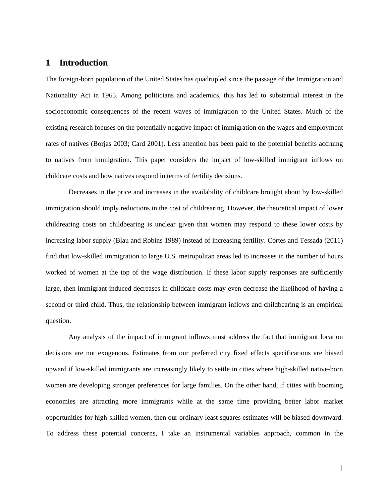# **1 Introduction**

The foreign-born population of the United States has quadrupled since the passage of the Immigration and Nationality Act in 1965. Among politicians and academics, this has led to substantial interest in the socioeconomic consequences of the recent waves of immigration to the United States. Much of the existing research focuses on the potentially negative impact of immigration on the wages and employment rates of natives (Borjas 2003; Card 2001). Less attention has been paid to the potential benefits accruing to natives from immigration. This paper considers the impact of low-skilled immigrant inflows on childcare costs and how natives respond in terms of fertility decisions.

 Decreases in the price and increases in the availability of childcare brought about by low-skilled immigration should imply reductions in the cost of childrearing. However, the theoretical impact of lower childrearing costs on childbearing is unclear given that women may respond to these lower costs by increasing labor supply (Blau and Robins 1989) instead of increasing fertility. Cortes and Tessada (2011) find that low-skilled immigration to large U.S. metropolitan areas led to increases in the number of hours worked of women at the top of the wage distribution. If these labor supply responses are sufficiently large, then immigrant-induced decreases in childcare costs may even decrease the likelihood of having a second or third child. Thus, the relationship between immigrant inflows and childbearing is an empirical question.

 Any analysis of the impact of immigrant inflows must address the fact that immigrant location decisions are not exogenous. Estimates from our preferred city fixed effects specifications are biased upward if low-skilled immigrants are increasingly likely to settle in cities where high-skilled native-born women are developing stronger preferences for large families. On the other hand, if cities with booming economies are attracting more immigrants while at the same time providing better labor market opportunities for high-skilled women, then our ordinary least squares estimates will be biased downward. To address these potential concerns, I take an instrumental variables approach, common in the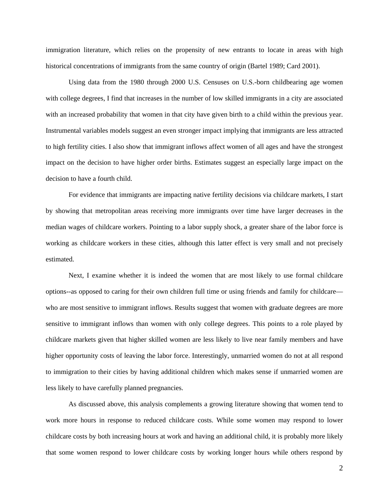immigration literature, which relies on the propensity of new entrants to locate in areas with high historical concentrations of immigrants from the same country of origin (Bartel 1989; Card 2001).

 Using data from the 1980 through 2000 U.S. Censuses on U.S.-born childbearing age women with college degrees, I find that increases in the number of low skilled immigrants in a city are associated with an increased probability that women in that city have given birth to a child within the previous year. Instrumental variables models suggest an even stronger impact implying that immigrants are less attracted to high fertility cities. I also show that immigrant inflows affect women of all ages and have the strongest impact on the decision to have higher order births. Estimates suggest an especially large impact on the decision to have a fourth child.

 For evidence that immigrants are impacting native fertility decisions via childcare markets, I start by showing that metropolitan areas receiving more immigrants over time have larger decreases in the median wages of childcare workers. Pointing to a labor supply shock, a greater share of the labor force is working as childcare workers in these cities, although this latter effect is very small and not precisely estimated.

 Next, I examine whether it is indeed the women that are most likely to use formal childcare options--as opposed to caring for their own children full time or using friends and family for childcare who are most sensitive to immigrant inflows. Results suggest that women with graduate degrees are more sensitive to immigrant inflows than women with only college degrees. This points to a role played by childcare markets given that higher skilled women are less likely to live near family members and have higher opportunity costs of leaving the labor force. Interestingly, unmarried women do not at all respond to immigration to their cities by having additional children which makes sense if unmarried women are less likely to have carefully planned pregnancies.

 As discussed above, this analysis complements a growing literature showing that women tend to work more hours in response to reduced childcare costs. While some women may respond to lower childcare costs by both increasing hours at work and having an additional child, it is probably more likely that some women respond to lower childcare costs by working longer hours while others respond by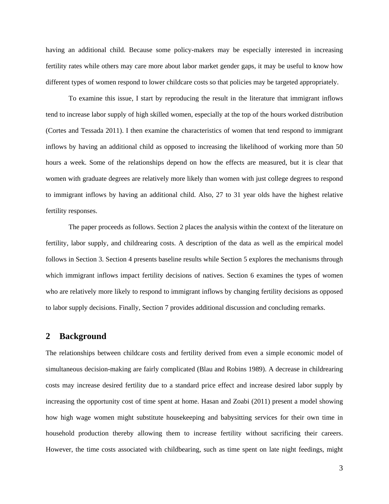having an additional child. Because some policy-makers may be especially interested in increasing fertility rates while others may care more about labor market gender gaps, it may be useful to know how different types of women respond to lower childcare costs so that policies may be targeted appropriately.

To examine this issue, I start by reproducing the result in the literature that immigrant inflows tend to increase labor supply of high skilled women, especially at the top of the hours worked distribution (Cortes and Tessada 2011). I then examine the characteristics of women that tend respond to immigrant inflows by having an additional child as opposed to increasing the likelihood of working more than 50 hours a week. Some of the relationships depend on how the effects are measured, but it is clear that women with graduate degrees are relatively more likely than women with just college degrees to respond to immigrant inflows by having an additional child. Also, 27 to 31 year olds have the highest relative fertility responses.

The paper proceeds as follows. Section 2 places the analysis within the context of the literature on fertility, labor supply, and childrearing costs. A description of the data as well as the empirical model follows in Section 3. Section 4 presents baseline results while Section 5 explores the mechanisms through which immigrant inflows impact fertility decisions of natives. Section 6 examines the types of women who are relatively more likely to respond to immigrant inflows by changing fertility decisions as opposed to labor supply decisions. Finally, Section 7 provides additional discussion and concluding remarks.

### **2 Background**

The relationships between childcare costs and fertility derived from even a simple economic model of simultaneous decision-making are fairly complicated (Blau and Robins 1989). A decrease in childrearing costs may increase desired fertility due to a standard price effect and increase desired labor supply by increasing the opportunity cost of time spent at home. Hasan and Zoabi (2011) present a model showing how high wage women might substitute housekeeping and babysitting services for their own time in household production thereby allowing them to increase fertility without sacrificing their careers. However, the time costs associated with childbearing, such as time spent on late night feedings, might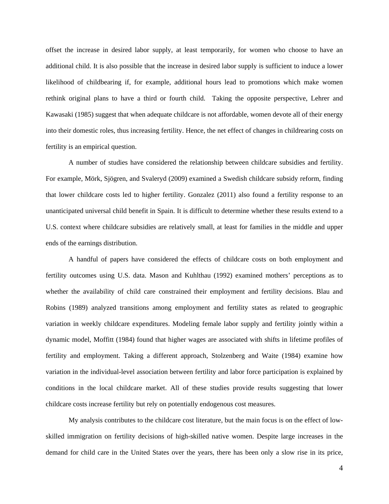offset the increase in desired labor supply, at least temporarily, for women who choose to have an additional child. It is also possible that the increase in desired labor supply is sufficient to induce a lower likelihood of childbearing if, for example, additional hours lead to promotions which make women rethink original plans to have a third or fourth child. Taking the opposite perspective, Lehrer and Kawasaki (1985) suggest that when adequate childcare is not affordable, women devote all of their energy into their domestic roles, thus increasing fertility. Hence, the net effect of changes in childrearing costs on fertility is an empirical question.

A number of studies have considered the relationship between childcare subsidies and fertility. For example, Mörk, Sjögren, and Svaleryd (2009) examined a Swedish childcare subsidy reform, finding that lower childcare costs led to higher fertility. Gonzalez (2011) also found a fertility response to an unanticipated universal child benefit in Spain. It is difficult to determine whether these results extend to a U.S. context where childcare subsidies are relatively small, at least for families in the middle and upper ends of the earnings distribution.

A handful of papers have considered the effects of childcare costs on both employment and fertility outcomes using U.S. data. Mason and Kuhlthau (1992) examined mothers' perceptions as to whether the availability of child care constrained their employment and fertility decisions. Blau and Robins (1989) analyzed transitions among employment and fertility states as related to geographic variation in weekly childcare expenditures. Modeling female labor supply and fertility jointly within a dynamic model, Moffitt (1984) found that higher wages are associated with shifts in lifetime profiles of fertility and employment. Taking a different approach, Stolzenberg and Waite (1984) examine how variation in the individual-level association between fertility and labor force participation is explained by conditions in the local childcare market. All of these studies provide results suggesting that lower childcare costs increase fertility but rely on potentially endogenous cost measures.

My analysis contributes to the childcare cost literature, but the main focus is on the effect of lowskilled immigration on fertility decisions of high-skilled native women. Despite large increases in the demand for child care in the United States over the years, there has been only a slow rise in its price,

4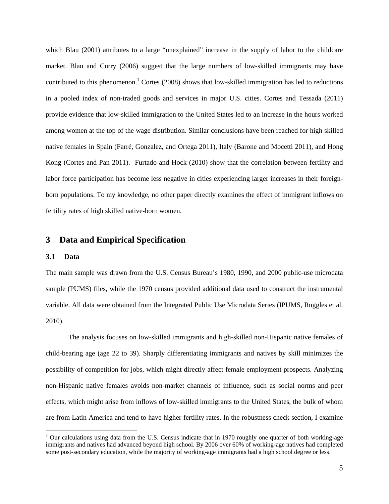which Blau (2001) attributes to a large "unexplained" increase in the supply of labor to the childcare market. Blau and Curry (2006) suggest that the large numbers of low-skilled immigrants may have contributed to this phenomenon.<sup>1</sup> Cortes (2008) shows that low-skilled immigration has led to reductions in a pooled index of non-traded goods and services in major U.S. cities. Cortes and Tessada (2011) provide evidence that low-skilled immigration to the United States led to an increase in the hours worked among women at the top of the wage distribution. Similar conclusions have been reached for high skilled native females in Spain (Farré, Gonzalez, and Ortega 2011), Italy (Barone and Mocetti 2011), and Hong Kong (Cortes and Pan 2011). Furtado and Hock (2010) show that the correlation between fertility and labor force participation has become less negative in cities experiencing larger increases in their foreignborn populations. To my knowledge, no other paper directly examines the effect of immigrant inflows on fertility rates of high skilled native-born women.

## **3 Data and Empirical Specification**

#### **3.1 Data**

 $\overline{a}$ 

The main sample was drawn from the U.S. Census Bureau's 1980, 1990, and 2000 public-use microdata sample (PUMS) files, while the 1970 census provided additional data used to construct the instrumental variable. All data were obtained from the Integrated Public Use Microdata Series (IPUMS, Ruggles et al. 2010).

The analysis focuses on low-skilled immigrants and high-skilled non-Hispanic native females of child-bearing age (age 22 to 39). Sharply differentiating immigrants and natives by skill minimizes the possibility of competition for jobs, which might directly affect female employment prospects. Analyzing non-Hispanic native females avoids non-market channels of influence, such as social norms and peer effects, which might arise from inflows of low-skilled immigrants to the United States, the bulk of whom are from Latin America and tend to have higher fertility rates. In the robustness check section, I examine

 $1$  Our calculations using data from the U.S. Census indicate that in 1970 roughly one quarter of both working-age immigrants and natives had advanced beyond high school. By 2006 over 60% of working-age natives had completed some post-secondary education, while the majority of working-age immigrants had a high school degree or less.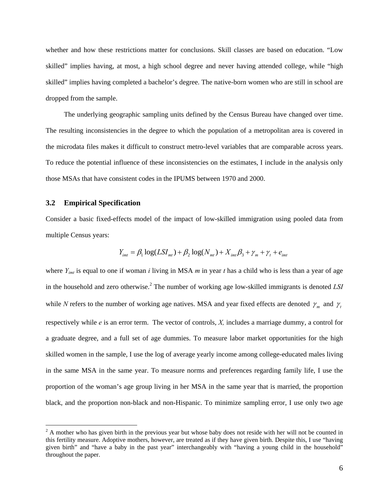whether and how these restrictions matter for conclusions. Skill classes are based on education. "Low skilled" implies having, at most, a high school degree and never having attended college, while "high skilled" implies having completed a bachelor's degree. The native-born women who are still in school are dropped from the sample.

The underlying geographic sampling units defined by the Census Bureau have changed over time. The resulting inconsistencies in the degree to which the population of a metropolitan area is covered in the microdata files makes it difficult to construct metro-level variables that are comparable across years. To reduce the potential influence of these inconsistencies on the estimates, I include in the analysis only those MSAs that have consistent codes in the IPUMS between 1970 and 2000.

#### **3.2 Empirical Specification**

 $\overline{a}$ 

Consider a basic fixed-effects model of the impact of low-skilled immigration using pooled data from multiple Census years:

$$
Y_{imt} = \beta_1 \log(LSI_{mt}) + \beta_2 \log(N_{mt}) + X_{imt}\beta_3 + \gamma_m + \gamma_t + e_{imt}
$$

where *Y<sub>imt</sub>* is equal to one if woman *i* living in MSA *m* in year *t* has a child who is less than a year of age in the household and zero otherwise.<sup>2</sup> The number of working age low-skilled immigrants is denoted *LSI* while *N* refers to the number of working age natives. MSA and year fixed effects are denoted  $\gamma_m$  and  $\gamma_t$ respectively while *e* is an error term. The vector of controls, *X,* includes a marriage dummy, a control for a graduate degree, and a full set of age dummies. To measure labor market opportunities for the high skilled women in the sample, I use the log of average yearly income among college-educated males living in the same MSA in the same year. To measure norms and preferences regarding family life, I use the proportion of the woman's age group living in her MSA in the same year that is married, the proportion black, and the proportion non-black and non-Hispanic. To minimize sampling error, I use only two age

 $2^2$  A mother who has given birth in the previous year but whose baby does not reside with her will not be counted in this fertility measure. Adoptive mothers, however, are treated as if they have given birth. Despite this, I use "having given birth" and "have a baby in the past year" interchangeably with "having a young child in the household" throughout the paper.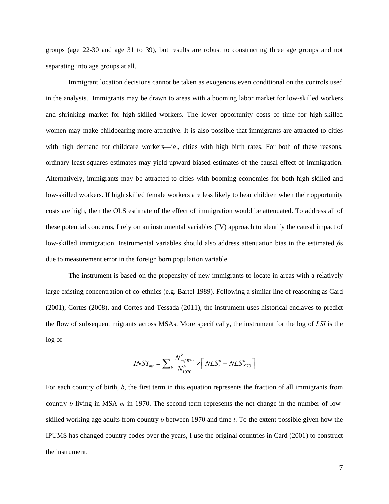groups (age 22-30 and age 31 to 39), but results are robust to constructing three age groups and not separating into age groups at all.

 Immigrant location decisions cannot be taken as exogenous even conditional on the controls used in the analysis. Immigrants may be drawn to areas with a booming labor market for low-skilled workers and shrinking market for high-skilled workers. The lower opportunity costs of time for high-skilled women may make childbearing more attractive. It is also possible that immigrants are attracted to cities with high demand for childcare workers—ie., cities with high birth rates. For both of these reasons, ordinary least squares estimates may yield upward biased estimates of the causal effect of immigration. Alternatively, immigrants may be attracted to cities with booming economies for both high skilled and low-skilled workers. If high skilled female workers are less likely to bear children when their opportunity costs are high, then the OLS estimate of the effect of immigration would be attenuated. To address all of these potential concerns, I rely on an instrumental variables (IV) approach to identify the causal impact of low-skilled immigration. Instrumental variables should also address attenuation bias in the estimated *β*s due to measurement error in the foreign born population variable.

The instrument is based on the propensity of new immigrants to locate in areas with a relatively large existing concentration of co-ethnics (e.g. Bartel 1989). Following a similar line of reasoning as Card (2001), Cortes (2008), and Cortes and Tessada (2011), the instrument uses historical enclaves to predict the flow of subsequent migrants across MSAs. More specifically, the instrument for the log of *LSI* is the log of

$$
INST_{mt} = \sum_{b} \frac{N_{m,1970}^{b}}{N_{1970}^{b}} \times \left[ NLS_{t}^{b} - NLS_{1970}^{b} \right]
$$

For each country of birth, *b*, the first term in this equation represents the fraction of all immigrants from country *b* living in MSA *m* in 1970. The second term represents the net change in the number of lowskilled working age adults from country *b* between 1970 and time *t*. To the extent possible given how the IPUMS has changed country codes over the years, I use the original countries in Card (2001) to construct the instrument.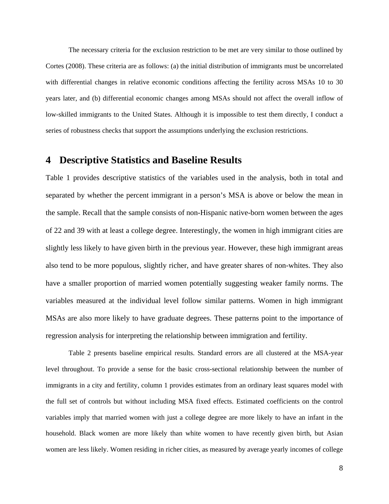The necessary criteria for the exclusion restriction to be met are very similar to those outlined by Cortes (2008). These criteria are as follows: (a) the initial distribution of immigrants must be uncorrelated with differential changes in relative economic conditions affecting the fertility across MSAs 10 to 30 years later, and (b) differential economic changes among MSAs should not affect the overall inflow of low-skilled immigrants to the United States. Although it is impossible to test them directly, I conduct a series of robustness checks that support the assumptions underlying the exclusion restrictions.

# **4 Descriptive Statistics and Baseline Results**

Table 1 provides descriptive statistics of the variables used in the analysis, both in total and separated by whether the percent immigrant in a person's MSA is above or below the mean in the sample. Recall that the sample consists of non-Hispanic native-born women between the ages of 22 and 39 with at least a college degree. Interestingly, the women in high immigrant cities are slightly less likely to have given birth in the previous year. However, these high immigrant areas also tend to be more populous, slightly richer, and have greater shares of non-whites. They also have a smaller proportion of married women potentially suggesting weaker family norms. The variables measured at the individual level follow similar patterns. Women in high immigrant MSAs are also more likely to have graduate degrees. These patterns point to the importance of regression analysis for interpreting the relationship between immigration and fertility.

Table 2 presents baseline empirical results. Standard errors are all clustered at the MSA-year level throughout. To provide a sense for the basic cross-sectional relationship between the number of immigrants in a city and fertility, column 1 provides estimates from an ordinary least squares model with the full set of controls but without including MSA fixed effects. Estimated coefficients on the control variables imply that married women with just a college degree are more likely to have an infant in the household. Black women are more likely than white women to have recently given birth, but Asian women are less likely. Women residing in richer cities, as measured by average yearly incomes of college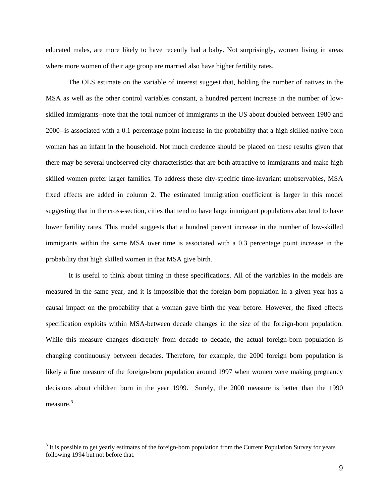educated males, are more likely to have recently had a baby. Not surprisingly, women living in areas where more women of their age group are married also have higher fertility rates.

 The OLS estimate on the variable of interest suggest that, holding the number of natives in the MSA as well as the other control variables constant, a hundred percent increase in the number of lowskilled immigrants--note that the total number of immigrants in the US about doubled between 1980 and 2000--is associated with a 0.1 percentage point increase in the probability that a high skilled-native born woman has an infant in the household. Not much credence should be placed on these results given that there may be several unobserved city characteristics that are both attractive to immigrants and make high skilled women prefer larger families. To address these city-specific time-invariant unobservables, MSA fixed effects are added in column 2. The estimated immigration coefficient is larger in this model suggesting that in the cross-section, cities that tend to have large immigrant populations also tend to have lower fertility rates. This model suggests that a hundred percent increase in the number of low-skilled immigrants within the same MSA over time is associated with a 0.3 percentage point increase in the probability that high skilled women in that MSA give birth.

 It is useful to think about timing in these specifications. All of the variables in the models are measured in the same year, and it is impossible that the foreign-born population in a given year has a causal impact on the probability that a woman gave birth the year before. However, the fixed effects specification exploits within MSA-between decade changes in the size of the foreign-born population. While this measure changes discretely from decade to decade, the actual foreign-born population is changing continuously between decades. Therefore, for example, the 2000 foreign born population is likely a fine measure of the foreign-born population around 1997 when women were making pregnancy decisions about children born in the year 1999. Surely, the 2000 measure is better than the 1990 measure.<sup>3</sup>

 $\overline{a}$ 

 $3$  It is possible to get yearly estimates of the foreign-born population from the Current Population Survey for years following 1994 but not before that.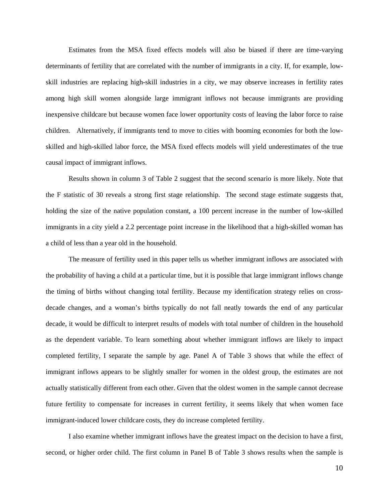Estimates from the MSA fixed effects models will also be biased if there are time-varying determinants of fertility that are correlated with the number of immigrants in a city. If, for example, lowskill industries are replacing high-skill industries in a city, we may observe increases in fertility rates among high skill women alongside large immigrant inflows not because immigrants are providing inexpensive childcare but because women face lower opportunity costs of leaving the labor force to raise children. Alternatively, if immigrants tend to move to cities with booming economies for both the lowskilled and high-skilled labor force, the MSA fixed effects models will yield underestimates of the true causal impact of immigrant inflows.

 Results shown in column 3 of Table 2 suggest that the second scenario is more likely. Note that the F statistic of 30 reveals a strong first stage relationship. The second stage estimate suggests that, holding the size of the native population constant, a 100 percent increase in the number of low-skilled immigrants in a city yield a 2.2 percentage point increase in the likelihood that a high-skilled woman has a child of less than a year old in the household.

 The measure of fertility used in this paper tells us whether immigrant inflows are associated with the probability of having a child at a particular time, but it is possible that large immigrant inflows change the timing of births without changing total fertility. Because my identification strategy relies on crossdecade changes, and a woman's births typically do not fall neatly towards the end of any particular decade, it would be difficult to interpret results of models with total number of children in the household as the dependent variable. To learn something about whether immigrant inflows are likely to impact completed fertility, I separate the sample by age. Panel A of Table 3 shows that while the effect of immigrant inflows appears to be slightly smaller for women in the oldest group, the estimates are not actually statistically different from each other. Given that the oldest women in the sample cannot decrease future fertility to compensate for increases in current fertility, it seems likely that when women face immigrant-induced lower childcare costs, they do increase completed fertility.

 I also examine whether immigrant inflows have the greatest impact on the decision to have a first, second, or higher order child. The first column in Panel B of Table 3 shows results when the sample is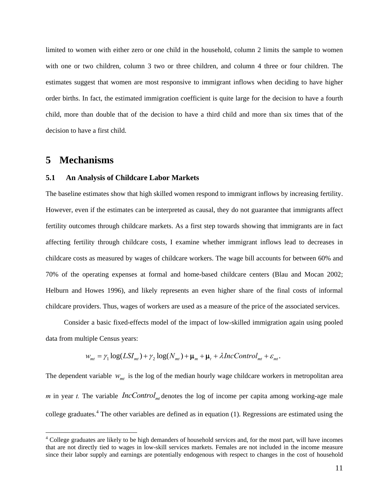limited to women with either zero or one child in the household, column 2 limits the sample to women with one or two children, column 3 two or three children, and column 4 three or four children. The estimates suggest that women are most responsive to immigrant inflows when deciding to have higher order births. In fact, the estimated immigration coefficient is quite large for the decision to have a fourth child, more than double that of the decision to have a third child and more than six times that of the decision to have a first child.

# **5 Mechanisms**

 $\overline{a}$ 

#### **5.1 An Analysis of Childcare Labor Markets**

The baseline estimates show that high skilled women respond to immigrant inflows by increasing fertility. However, even if the estimates can be interpreted as causal, they do not guarantee that immigrants affect fertility outcomes through childcare markets. As a first step towards showing that immigrants are in fact affecting fertility through childcare costs, I examine whether immigrant inflows lead to decreases in childcare costs as measured by wages of childcare workers. The wage bill accounts for between 60% and 70% of the operating expenses at formal and home-based childcare centers (Blau and Mocan 2002; Helburn and Howes 1996), and likely represents an even higher share of the final costs of informal childcare providers. Thus, wages of workers are used as a measure of the price of the associated services.

Consider a basic fixed-effects model of the impact of low-skilled immigration again using pooled data from multiple Census years:

$$
w_{mt} = \gamma_1 \log(LSI_{mt}) + \gamma_2 \log(N_{mt}) + \mu_m + \mu_t + \lambda IncControl_{mt} + \varepsilon_{mt}.
$$

The dependent variable  $W_{mt}$  is the log of the median hourly wage childcare workers in metropolitan area *m* in year *t*. The variable *IncControl*  $_{mt}$  denotes the log of income per capita among working-age male college graduates.<sup>4</sup> The other variables are defined as in equation (1). Regressions are estimated using the

<sup>&</sup>lt;sup>4</sup> College graduates are likely to be high demanders of household services and, for the most part, will have incomes that are not directly tied to wages in low-skill services markets. Females are not included in the income measure since their labor supply and earnings are potentially endogenous with respect to changes in the cost of household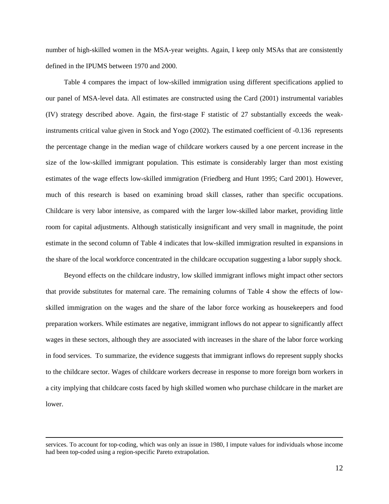number of high-skilled women in the MSA-year weights. Again, I keep only MSAs that are consistently defined in the IPUMS between 1970 and 2000.

Table 4 compares the impact of low-skilled immigration using different specifications applied to our panel of MSA-level data. All estimates are constructed using the Card (2001) instrumental variables (IV) strategy described above. Again, the first-stage F statistic of 27 substantially exceeds the weakinstruments critical value given in Stock and Yogo (2002). The estimated coefficient of -0.136 represents the percentage change in the median wage of childcare workers caused by a one percent increase in the size of the low-skilled immigrant population. This estimate is considerably larger than most existing estimates of the wage effects low-skilled immigration (Friedberg and Hunt 1995; Card 2001). However, much of this research is based on examining broad skill classes, rather than specific occupations. Childcare is very labor intensive, as compared with the larger low-skilled labor market, providing little room for capital adjustments. Although statistically insignificant and very small in magnitude, the point estimate in the second column of Table 4 indicates that low-skilled immigration resulted in expansions in the share of the local workforce concentrated in the childcare occupation suggesting a labor supply shock.

Beyond effects on the childcare industry, low skilled immigrant inflows might impact other sectors that provide substitutes for maternal care. The remaining columns of Table 4 show the effects of lowskilled immigration on the wages and the share of the labor force working as housekeepers and food preparation workers. While estimates are negative, immigrant inflows do not appear to significantly affect wages in these sectors, although they are associated with increases in the share of the labor force working in food services. To summarize, the evidence suggests that immigrant inflows do represent supply shocks to the childcare sector. Wages of childcare workers decrease in response to more foreign born workers in a city implying that childcare costs faced by high skilled women who purchase childcare in the market are lower.

services. To account for top-coding, which was only an issue in 1980, I impute values for individuals whose income had been top-coded using a region-specific Pareto extrapolation.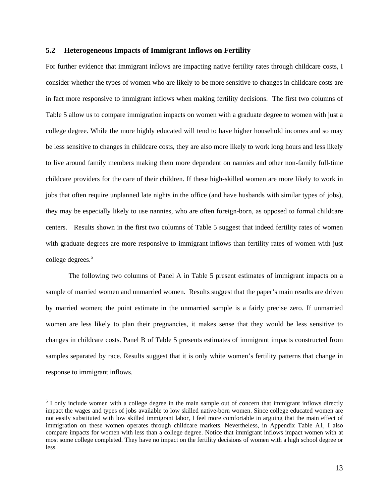#### **5.2 Heterogeneous Impacts of Immigrant Inflows on Fertility**

For further evidence that immigrant inflows are impacting native fertility rates through childcare costs, I consider whether the types of women who are likely to be more sensitive to changes in childcare costs are in fact more responsive to immigrant inflows when making fertility decisions. The first two columns of Table 5 allow us to compare immigration impacts on women with a graduate degree to women with just a college degree. While the more highly educated will tend to have higher household incomes and so may be less sensitive to changes in childcare costs, they are also more likely to work long hours and less likely to live around family members making them more dependent on nannies and other non-family full-time childcare providers for the care of their children. If these high-skilled women are more likely to work in jobs that often require unplanned late nights in the office (and have husbands with similar types of jobs), they may be especially likely to use nannies, who are often foreign-born, as opposed to formal childcare centers. Results shown in the first two columns of Table 5 suggest that indeed fertility rates of women with graduate degrees are more responsive to immigrant inflows than fertility rates of women with just college degrees.<sup>5</sup>

 The following two columns of Panel A in Table 5 present estimates of immigrant impacts on a sample of married women and unmarried women. Results suggest that the paper's main results are driven by married women; the point estimate in the unmarried sample is a fairly precise zero. If unmarried women are less likely to plan their pregnancies, it makes sense that they would be less sensitive to changes in childcare costs. Panel B of Table 5 presents estimates of immigrant impacts constructed from samples separated by race. Results suggest that it is only white women's fertility patterns that change in response to immigrant inflows.

 $\overline{a}$ 

 $<sup>5</sup>$  I only include women with a college degree in the main sample out of concern that immigrant inflows directly</sup> impact the wages and types of jobs available to low skilled native-born women. Since college educated women are not easily substituted with low skilled immigrant labor, I feel more comfortable in arguing that the main effect of immigration on these women operates through childcare markets. Nevertheless, in Appendix Table A1, I also compare impacts for women with less than a college degree. Notice that immigrant inflows impact women with at most some college completed. They have no impact on the fertility decisions of women with a high school degree or less.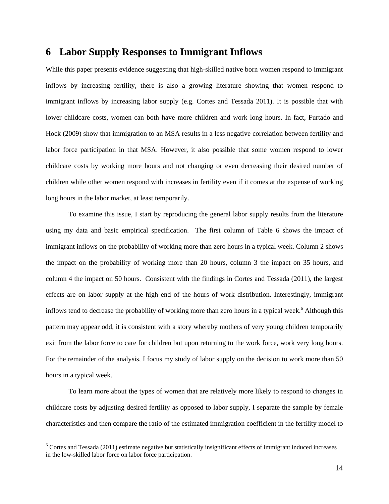# **6 Labor Supply Responses to Immigrant Inflows**

While this paper presents evidence suggesting that high-skilled native born women respond to immigrant inflows by increasing fertility, there is also a growing literature showing that women respond to immigrant inflows by increasing labor supply (e.g. Cortes and Tessada 2011). It is possible that with lower childcare costs, women can both have more children and work long hours. In fact, Furtado and Hock (2009) show that immigration to an MSA results in a less negative correlation between fertility and labor force participation in that MSA. However, it also possible that some women respond to lower childcare costs by working more hours and not changing or even decreasing their desired number of children while other women respond with increases in fertility even if it comes at the expense of working long hours in the labor market, at least temporarily.

 To examine this issue, I start by reproducing the general labor supply results from the literature using my data and basic empirical specification. The first column of Table 6 shows the impact of immigrant inflows on the probability of working more than zero hours in a typical week. Column 2 shows the impact on the probability of working more than 20 hours, column 3 the impact on 35 hours, and column 4 the impact on 50 hours. Consistent with the findings in Cortes and Tessada (2011), the largest effects are on labor supply at the high end of the hours of work distribution. Interestingly, immigrant inflows tend to decrease the probability of working more than zero hours in a typical week.<sup>6</sup> Although this pattern may appear odd, it is consistent with a story whereby mothers of very young children temporarily exit from the labor force to care for children but upon returning to the work force, work very long hours. For the remainder of the analysis, I focus my study of labor supply on the decision to work more than 50 hours in a typical week.

 To learn more about the types of women that are relatively more likely to respond to changes in childcare costs by adjusting desired fertility as opposed to labor supply, I separate the sample by female characteristics and then compare the ratio of the estimated immigration coefficient in the fertility model to

 $\overline{a}$ 

 $6$  Cortes and Tessada (2011) estimate negative but statistically insignificant effects of immigrant induced increases in the low-skilled labor force on labor force participation.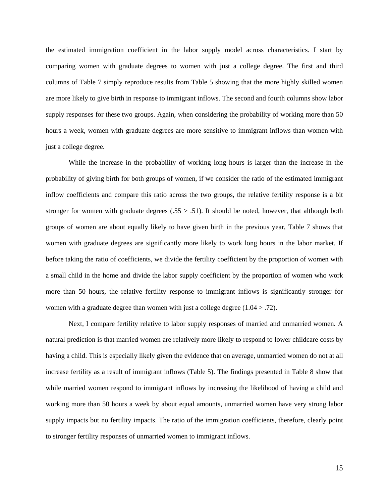the estimated immigration coefficient in the labor supply model across characteristics. I start by comparing women with graduate degrees to women with just a college degree. The first and third columns of Table 7 simply reproduce results from Table 5 showing that the more highly skilled women are more likely to give birth in response to immigrant inflows. The second and fourth columns show labor supply responses for these two groups. Again, when considering the probability of working more than 50 hours a week, women with graduate degrees are more sensitive to immigrant inflows than women with just a college degree.

 While the increase in the probability of working long hours is larger than the increase in the probability of giving birth for both groups of women, if we consider the ratio of the estimated immigrant inflow coefficients and compare this ratio across the two groups, the relative fertility response is a bit stronger for women with graduate degrees  $(.55 > .51)$ . It should be noted, however, that although both groups of women are about equally likely to have given birth in the previous year, Table 7 shows that women with graduate degrees are significantly more likely to work long hours in the labor market. If before taking the ratio of coefficients, we divide the fertility coefficient by the proportion of women with a small child in the home and divide the labor supply coefficient by the proportion of women who work more than 50 hours, the relative fertility response to immigrant inflows is significantly stronger for women with a graduate degree than women with just a college degree (1.04 > .72).

 Next, I compare fertility relative to labor supply responses of married and unmarried women. A natural prediction is that married women are relatively more likely to respond to lower childcare costs by having a child. This is especially likely given the evidence that on average, unmarried women do not at all increase fertility as a result of immigrant inflows (Table 5). The findings presented in Table 8 show that while married women respond to immigrant inflows by increasing the likelihood of having a child and working more than 50 hours a week by about equal amounts, unmarried women have very strong labor supply impacts but no fertility impacts. The ratio of the immigration coefficients, therefore, clearly point to stronger fertility responses of unmarried women to immigrant inflows.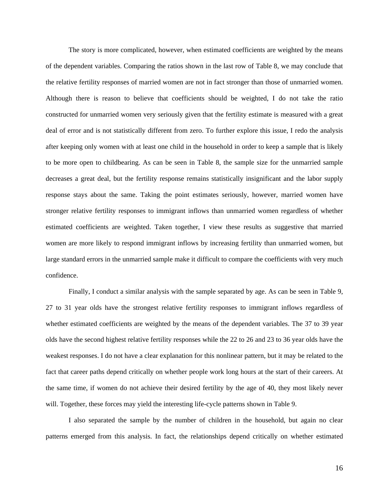The story is more complicated, however, when estimated coefficients are weighted by the means of the dependent variables. Comparing the ratios shown in the last row of Table 8, we may conclude that the relative fertility responses of married women are not in fact stronger than those of unmarried women. Although there is reason to believe that coefficients should be weighted, I do not take the ratio constructed for unmarried women very seriously given that the fertility estimate is measured with a great deal of error and is not statistically different from zero. To further explore this issue, I redo the analysis after keeping only women with at least one child in the household in order to keep a sample that is likely to be more open to childbearing. As can be seen in Table 8, the sample size for the unmarried sample decreases a great deal, but the fertility response remains statistically insignificant and the labor supply response stays about the same. Taking the point estimates seriously, however, married women have stronger relative fertility responses to immigrant inflows than unmarried women regardless of whether estimated coefficients are weighted. Taken together, I view these results as suggestive that married women are more likely to respond immigrant inflows by increasing fertility than unmarried women, but large standard errors in the unmarried sample make it difficult to compare the coefficients with very much confidence.

 Finally, I conduct a similar analysis with the sample separated by age. As can be seen in Table 9, 27 to 31 year olds have the strongest relative fertility responses to immigrant inflows regardless of whether estimated coefficients are weighted by the means of the dependent variables. The 37 to 39 year olds have the second highest relative fertility responses while the 22 to 26 and 23 to 36 year olds have the weakest responses. I do not have a clear explanation for this nonlinear pattern, but it may be related to the fact that career paths depend critically on whether people work long hours at the start of their careers. At the same time, if women do not achieve their desired fertility by the age of 40, they most likely never will. Together, these forces may yield the interesting life-cycle patterns shown in Table 9.

 I also separated the sample by the number of children in the household, but again no clear patterns emerged from this analysis. In fact, the relationships depend critically on whether estimated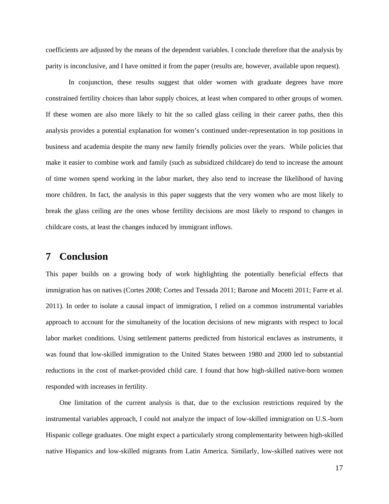coefficients are adjusted by the means of the dependent variables. I conclude therefore that the analysis by parity is inconclusive, and I have omitted it from the paper (results are, however, available upon request).

In conjunction, these results suggest that older women with graduate degrees have more constrained fertility choices than labor supply choices, at least when compared to other groups of women. If these women are also more likely to hit the so called glass ceiling in their career paths, then this analysis provides a potential explanation for women's continued under-representation in top positions in business and academia despite the many new family friendly policies over the years. While policies that make it easier to combine work and family (such as subsidized childcare) do tend to increase the amount of time women spend working in the labor market, they also tend to increase the likelihood of having more children. In fact, the analysis in this paper suggests that the very women who are most likely to break the glass ceiling are the ones whose fertility decisions are most likely to respond to changes in childcare costs, at least the changes induced by immigrant inflows.

# **7 Conclusion**

This paper builds on a growing body of work highlighting the potentially beneficial effects that immigration has on natives (Cortes 2008; Cortes and Tessada 2011; Barone and Mocetti 2011; Farre et al. 2011). In order to isolate a causal impact of immigration, I relied on a common instrumental variables approach to account for the simultaneity of the location decisions of new migrants with respect to local labor market conditions. Using settlement patterns predicted from historical enclaves as instruments, it was found that low-skilled immigration to the United States between 1980 and 2000 led to substantial reductions in the cost of market-provided child care. I found that how high-skilled native-born women responded with increases in fertility.

One limitation of the current analysis is that, due to the exclusion restrictions required by the instrumental variables approach, I could not analyze the impact of low-skilled immigration on U.S.-born Hispanic college graduates. One might expect a particularly strong complementarity between high-skilled native Hispanics and low-skilled migrants from Latin America. Similarly, low-skilled natives were not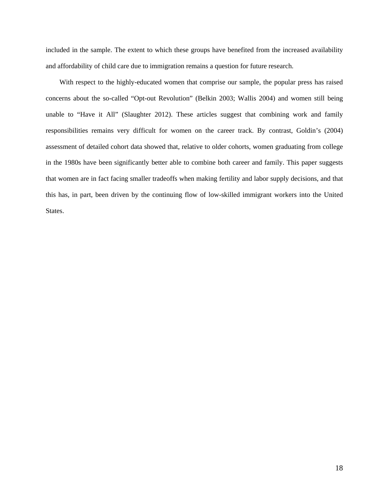included in the sample. The extent to which these groups have benefited from the increased availability and affordability of child care due to immigration remains a question for future research.

With respect to the highly-educated women that comprise our sample, the popular press has raised concerns about the so-called "Opt-out Revolution" (Belkin 2003; Wallis 2004) and women still being unable to "Have it All" (Slaughter 2012). These articles suggest that combining work and family responsibilities remains very difficult for women on the career track. By contrast, Goldin's (2004) assessment of detailed cohort data showed that, relative to older cohorts, women graduating from college in the 1980s have been significantly better able to combine both career and family. This paper suggests that women are in fact facing smaller tradeoffs when making fertility and labor supply decisions, and that this has, in part, been driven by the continuing flow of low-skilled immigrant workers into the United States.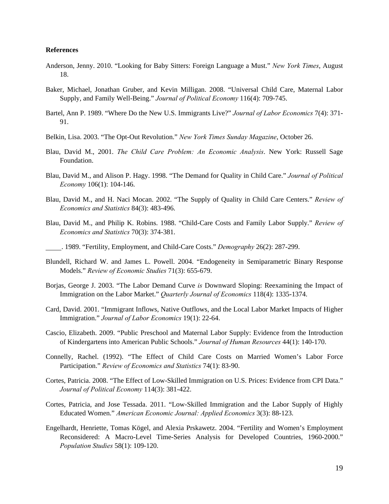#### **References**

- Anderson, Jenny. 2010. "Looking for Baby Sitters: Foreign Language a Must." *New York Times*, August 18.
- Baker, Michael, Jonathan Gruber, and Kevin Milligan. 2008. "Universal Child Care, Maternal Labor Supply, and Family Well-Being." *Journal of Political Economy* 116(4): 709-745.
- Bartel, Ann P. 1989. "Where Do the New U.S. Immigrants Live?" *Journal of Labor Economics* 7(4): 371- 91.
- Belkin, Lisa. 2003. "The Opt-Out Revolution." *New York Times Sunday Magazine*, October 26.
- Blau, David M., 2001. *The Child Care Problem: An Economic Analysis*. New York: Russell Sage Foundation.
- Blau, David M., and Alison P. Hagy. 1998. "The Demand for Quality in Child Care." *Journal of Political Economy* 106(1): 104-146.
- Blau, David M., and H. Naci Mocan. 2002. "The Supply of Quality in Child Care Centers." *Review of Economics and Statistics* 84(3): 483-496.
- Blau, David M., and Philip K. Robins. 1988. "Child-Care Costs and Family Labor Supply." *Review of Economics and Statistics* 70(3): 374-381.

. 1989. "Fertility, Employment, and Child-Care Costs." *Demography* 26(2): 287-299.

- Blundell, Richard W. and James L. Powell. 2004. "Endogeneity in Semiparametric Binary Response Models." *Review of Economic Studies* 71(3): 655-679.
- Borjas, George J. 2003. "The Labor Demand Curve *is* Downward Sloping: Reexamining the Impact of Immigration on the Labor Market." *Quarterly Journal of Economics* 118(4): 1335-1374.
- Card, David. 2001. "Immigrant Inflows, Native Outflows, and the Local Labor Market Impacts of Higher Immigration." *Journal of Labor Economics* 19(1): 22-64.
- Cascio, Elizabeth. 2009. "Public Preschool and Maternal Labor Supply: Evidence from the Introduction of Kindergartens into American Public Schools." *Journal of Human Resources* 44(1): 140-170.
- Connelly, Rachel. (1992). "The Effect of Child Care Costs on Married Women's Labor Force Participation." *Review of Economics and Statistics* 74(1): 83-90.
- Cortes, Patricia. 2008. "The Effect of Low-Skilled Immigration on U.S. Prices: Evidence from CPI Data." *Journal of Political Economy* 114(3): 381-422.
- Cortes, Patricia, and Jose Tessada. 2011. "Low-Skilled Immigration and the Labor Supply of Highly Educated Women." *American Economic Journal: Applied Economics* 3(3): 88-123.
- Engelhardt, Henriette, Tomas Kögel, and Alexia Prskawetz. 2004. "Fertility and Women's Employment Reconsidered: A Macro-Level Time-Series Analysis for Developed Countries, 1960-2000." *Population Studies* 58(1): 109-120.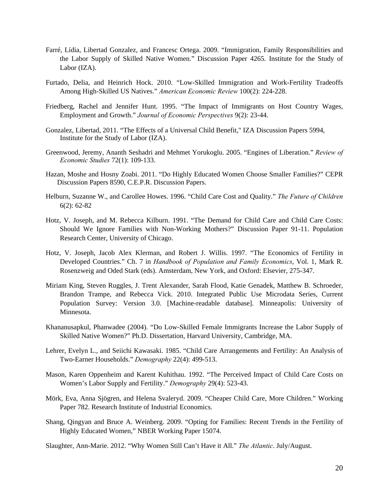- Farré, Lídia, Libertad Gonzalez, and Francesc Ortega. 2009. "Immigration, Family Responsibilities and the Labor Supply of Skilled Native Women." Discussion Paper 4265. Institute for the Study of Labor (IZA).
- Furtado, Delia, and Heinrich Hock. 2010. "Low-Skilled Immigration and Work-Fertility Tradeoffs Among High-Skilled US Natives." *American Economic Review* 100(2): 224-228.
- Friedberg, Rachel and Jennifer Hunt. 1995. "The Impact of Immigrants on Host Country Wages, Employment and Growth." *Journal of Economic Perspectives* 9(2): 23-44.
- Gonzalez, Libertad, 2011. "The Effects of a Universal Child Benefit," IZA Discussion Papers 5994, Institute for the Study of Labor (IZA).
- Greenwood, Jeremy, Ananth Seshadri and Mehmet Yorukoglu. 2005. "Engines of Liberation." *Review of Economic Studies* 72(1): 109-133.
- Hazan, Moshe and Hosny Zoabi. 2011. "Do Highly Educated Women Choose Smaller Families?" CEPR Discussion Papers 8590, C.E.P.R. Discussion Papers.
- Helburn, Suzanne W., and Carollee Howes. 1996. "Child Care Cost and Quality." *The Future of Children* 6(2): 62-82
- Hotz, V. Joseph, and M. Rebecca Kilburn. 1991. "The Demand for Child Care and Child Care Costs: Should We Ignore Families with Non-Working Mothers?" Discussion Paper 91-11. Population Research Center, University of Chicago.
- Hotz, V. Joseph, Jacob Alex Klerman, and Robert J. Willis. 1997. "The Economics of Fertility in Developed Countries." Ch. 7 in *Handbook of Population and Family Economics*, Vol. 1, Mark R. Rosenzweig and Oded Stark (eds). Amsterdam, New York, and Oxford: Elsevier, 275-347.
- Miriam King, Steven Ruggles, J. Trent Alexander, Sarah Flood, Katie Genadek, Matthew B. Schroeder, Brandon Trampe, and Rebecca Vick. 2010. Integrated Public Use Microdata Series, Current Population Survey: Version 3.0. [Machine-readable database]. Minneapolis: University of Minnesota.
- Khananusapkul, Phanwadee (2004). "Do Low-Skilled Female Immigrants Increase the Labor Supply of Skilled Native Women?" Ph.D. Dissertation, Harvard University, Cambridge, MA.
- Lehrer, Evelyn L., and Seiichi Kawasaki. 1985. "Child Care Arrangements and Fertility: An Analysis of Two-Earner Households." *Demography* 22(4): 499-513.
- Mason, Karen Oppenheim and Karent Kuhithau. 1992. "The Perceived Impact of Child Care Costs on Women's Labor Supply and Fertility." *Demography* 29(4): 523-43.
- Mörk, Eva, Anna Sjögren, and Helena Svaleryd. 2009. "Cheaper Child Care, More Children." Working Paper 782. Research Institute of Industrial Economics.
- Shang, Qingyan and Bruce A. Weinberg. 2009. "Opting for Families: Recent Trends in the Fertility of Highly Educated Women," NBER Working Paper 15074.
- Slaughter, Ann-Marie. 2012. "Why Women Still Can't Have it All." *The Atlantic*. July/August.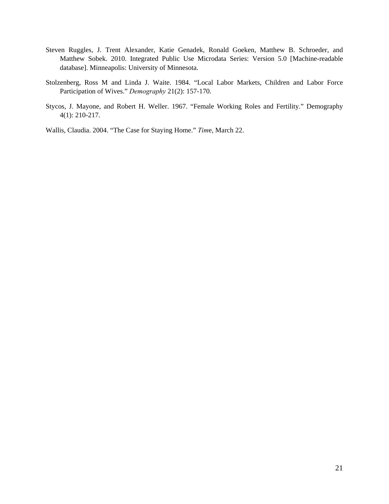- Steven Ruggles, J. Trent Alexander, Katie Genadek, Ronald Goeken, Matthew B. Schroeder, and Matthew Sobek. 2010. Integrated Public Use Microdata Series: Version 5.0 [Machine-readable database]. Minneapolis: University of Minnesota.
- Stolzenberg, Ross M and Linda J. Waite. 1984. "Local Labor Markets, Children and Labor Force Participation of Wives." *Demography* 21(2): 157-170.
- Stycos, J. Mayone, and Robert H. Weller. 1967. "Female Working Roles and Fertility." Demography 4(1): 210-217.
- Wallis, Claudia. 2004. "The Case for Staying Home." *Tim*e, March 22.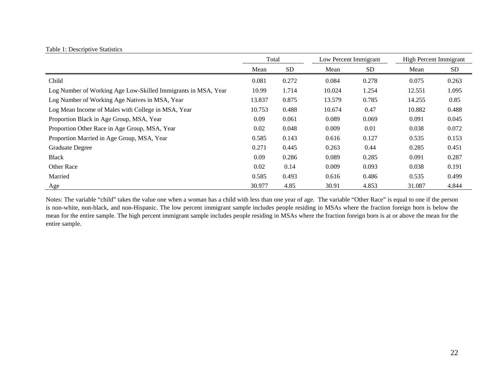|                                                               | Total  |           |        | Low Percent Immigrant |        | High Percent Immigrant |
|---------------------------------------------------------------|--------|-----------|--------|-----------------------|--------|------------------------|
|                                                               | Mean   | <b>SD</b> | Mean   | <b>SD</b>             | Mean   | SD                     |
| Child                                                         | 0.081  | 0.272     | 0.084  | 0.278                 | 0.075  | 0.263                  |
| Log Number of Working Age Low-Skilled Immigrants in MSA, Year | 10.99  | 1.714     | 10.024 | 1.254                 | 12.551 | 1.095                  |
| Log Number of Working Age Natives in MSA, Year                | 13.837 | 0.875     | 13.579 | 0.785                 | 14.255 | 0.85                   |
| Log Mean Income of Males with College in MSA, Year            | 10.753 | 0.488     | 10.674 | 0.47                  | 10.882 | 0.488                  |
| Proportion Black in Age Group, MSA, Year                      | 0.09   | 0.061     | 0.089  | 0.069                 | 0.091  | 0.045                  |
| Proportion Other Race in Age Group, MSA, Year                 | 0.02   | 0.048     | 0.009  | 0.01                  | 0.038  | 0.072                  |
| Proportion Married in Age Group, MSA, Year                    | 0.585  | 0.143     | 0.616  | 0.127                 | 0.535  | 0.153                  |
| Graduate Degree                                               | 0.271  | 0.445     | 0.263  | 0.44                  | 0.285  | 0.451                  |
| <b>Black</b>                                                  | 0.09   | 0.286     | 0.089  | 0.285                 | 0.091  | 0.287                  |
| <b>Other Race</b>                                             | 0.02   | 0.14      | 0.009  | 0.093                 | 0.038  | 0.191                  |
| Married                                                       | 0.585  | 0.493     | 0.616  | 0.486                 | 0.535  | 0.499                  |
| Age                                                           | 30.977 | 4.85      | 30.91  | 4.853                 | 31.087 | 4.844                  |

#### Table 1: Descriptive Statistics

Notes: The variable "child" takes the value one when a woman has a child with less than one year of age. The variable "Other Race" is equal to one if the person is non-white, non-black, and non-Hispanic. The low percent immigrant sample includes people residing in MSAs where the fraction foreign born is below the mean for the entire sample. The high percent immigrant sample includes people residing in MSAs where the fraction foreign born is at or above the mean for the entire sample.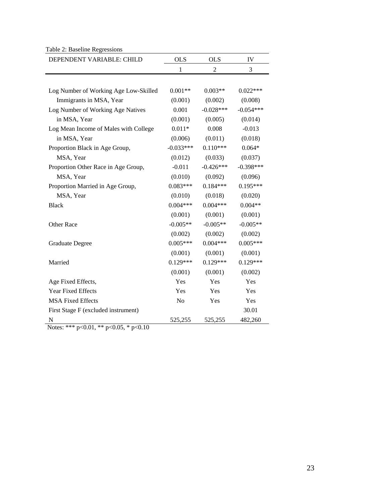Table 2: Baseline Regressions

| DEPENDENT VARIABLE: CHILD             | <b>OLS</b>  | <b>OLS</b>  | IV          |
|---------------------------------------|-------------|-------------|-------------|
|                                       | 1           | 2           | 3           |
|                                       |             |             |             |
| Log Number of Working Age Low-Skilled | $0.001**$   | $0.003**$   | $0.022***$  |
| Immigrants in MSA, Year               | (0.001)     | (0.002)     | (0.008)     |
| Log Number of Working Age Natives     | 0.001       | $-0.028***$ | $-0.054***$ |
| in MSA, Year                          | (0.001)     | (0.005)     | (0.014)     |
| Log Mean Income of Males with College | $0.011*$    | 0.008       | $-0.013$    |
| in MSA, Year                          | (0.006)     | (0.011)     | (0.018)     |
| Proportion Black in Age Group,        | $-0.033***$ | $0.110***$  | $0.064*$    |
| MSA, Year                             | (0.012)     | (0.033)     | (0.037)     |
| Proportion Other Race in Age Group,   | $-0.011$    | $-0.426***$ | $-0.398***$ |
| MSA, Year                             | (0.010)     | (0.092)     | (0.096)     |
| Proportion Married in Age Group,      | $0.083***$  | $0.184***$  | $0.195***$  |
| MSA, Year                             | (0.010)     | (0.018)     | (0.020)     |
| <b>Black</b>                          | $0.004***$  | $0.004***$  | $0.004**$   |
|                                       | (0.001)     | (0.001)     | (0.001)     |
| Other Race                            | $-0.005**$  | $-0.005**$  | $-0.005**$  |
|                                       | (0.002)     | (0.002)     | (0.002)     |
| <b>Graduate Degree</b>                | $0.005***$  | $0.004***$  | $0.005***$  |
|                                       | (0.001)     | (0.001)     | (0.001)     |
| Married                               | $0.129***$  | $0.129***$  | $0.129***$  |
|                                       | (0.001)     | (0.001)     | (0.002)     |
| Age Fixed Effects,                    | Yes         | Yes         | Yes         |
| <b>Year Fixed Effects</b>             | Yes         | Yes         | Yes         |
| <b>MSA Fixed Effects</b>              | No          | Yes         | Yes         |
| First Stage F (excluded instrument)   |             |             | 30.01       |
| N                                     | 525,255     | 525,255     | 482,260     |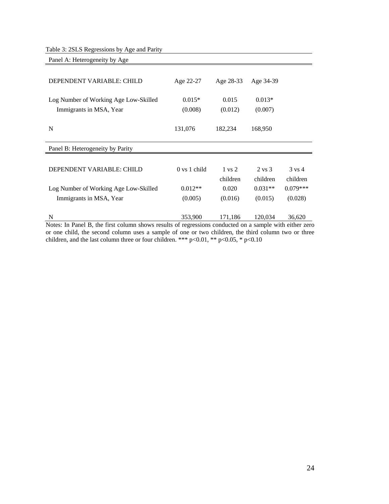Table 3: 2SLS Regressions by Age and Parity

| Panel A: Heterogeneity by Age                                                                                                                                         |                                         |                   |                   |                      |
|-----------------------------------------------------------------------------------------------------------------------------------------------------------------------|-----------------------------------------|-------------------|-------------------|----------------------|
| DEPENDENT VARIABLE: CHILD                                                                                                                                             | Age 22-27                               | Age 28-33         | Age 34-39         |                      |
|                                                                                                                                                                       |                                         |                   |                   |                      |
| Log Number of Working Age Low-Skilled                                                                                                                                 | $0.015*$                                | 0.015             | $0.013*$          |                      |
| Immigrants in MSA, Year                                                                                                                                               | (0.008)                                 | (0.012)           | (0.007)           |                      |
| $\mathbf N$                                                                                                                                                           | 131,076                                 | 182,234           | 168,950           |                      |
| Panel B: Heterogeneity by Parity                                                                                                                                      |                                         |                   |                   |                      |
|                                                                                                                                                                       |                                         |                   |                   |                      |
| DEPENDENT VARIABLE: CHILD                                                                                                                                             | $0 \text{ vs } 1 \text{ child}$         | $1 \text{ vs } 2$ | $2 \text{ vs } 3$ | $3 \text{ vs } 4$    |
|                                                                                                                                                                       |                                         | children          | children          | children             |
| Log Number of Working Age Low-Skilled                                                                                                                                 | $0.012**$                               | 0.020             | $0.031**$         | $0.079***$           |
| Immigrants in MSA, Year                                                                                                                                               | (0.005)                                 | (0.016)           | (0.015)           | (0.028)              |
| N<br>$\mathbf{M}$ $\mathbf{L}$ $\mathbf{L}$ $\mathbf{D}$ $\mathbf{I}$ $\mathbf{D}$ $\mathbf{A}$ $\mathbf{C}$ $\mathbf{L}$ $\mathbf{I}$ $\mathbf{L}$<br>$\blacksquare$ | 353,900<br>$\mathbf{1}$<br>$\mathbf{r}$ | 171,186           | 120,034           | 36,620<br>$\cdot$ .1 |

Notes: In Panel B, the first column shows results of regressions conducted on a sample with either zero or one child, the second column uses a sample of one or two children, the third column two or three children, and the last column three or four children. \*\*\* p<0.01, \*\* p<0.05, \* p<0.10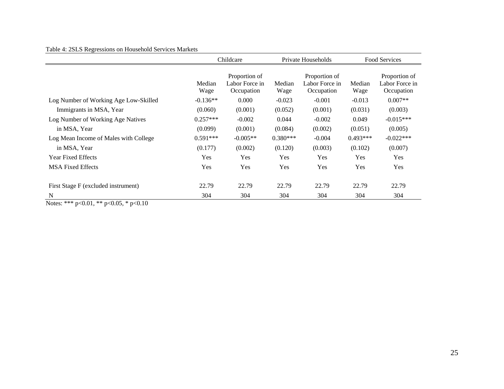### Table 4: 2SLS Regressions on Household Services Markets

| Table 4: 2SLS Regressions on Household Services Markets | Childcare      |                                               |                | Private Households                            |            | Food Services                                 |  |
|---------------------------------------------------------|----------------|-----------------------------------------------|----------------|-----------------------------------------------|------------|-----------------------------------------------|--|
|                                                         | Median<br>Wage | Proportion of<br>Labor Force in<br>Occupation | Median<br>Wage | Proportion of<br>Labor Force in<br>Occupation |            | Proportion of<br>Labor Force in<br>Occupation |  |
| Log Number of Working Age Low-Skilled                   | $-0.136**$     | 0.000                                         | $-0.023$       | $-0.001$                                      | $-0.013$   | $0.007**$                                     |  |
| Immigrants in MSA, Year                                 | (0.060)        | (0.001)                                       | (0.052)        | (0.001)                                       | (0.031)    | (0.003)                                       |  |
| Log Number of Working Age Natives                       | $0.257***$     | $-0.002$                                      | 0.044          | $-0.002$                                      | 0.049      | $-0.015***$                                   |  |
| in MSA, Year                                            | (0.099)        | (0.001)                                       | (0.084)        | (0.002)                                       | (0.051)    | (0.005)                                       |  |
| Log Mean Income of Males with College                   | $0.591***$     | $-0.005**$                                    | $0.380***$     | $-0.004$                                      | $0.493***$ | $-0.022***$                                   |  |
| in MSA, Year                                            | (0.177)        | (0.002)                                       | (0.120)        | (0.003)                                       | (0.102)    | (0.007)                                       |  |
| <b>Year Fixed Effects</b>                               | Yes            | Yes                                           | Yes            | Yes                                           | Yes        | Yes                                           |  |
| <b>MSA Fixed Effects</b>                                | Yes            | Yes                                           | Yes            | Yes                                           | Yes        | Yes                                           |  |
| First Stage F (excluded instrument)                     | 22.79          | 22.79                                         | 22.79          | 22.79                                         | 22.79      | 22.79                                         |  |
| N                                                       | 304            | 304                                           | 304            | 304                                           | 304        | 304                                           |  |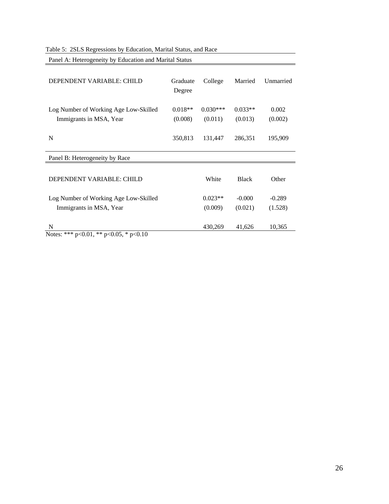Table 5: 2SLS Regressions by Education, Marital Status, and Race

Panel A: Heterogeneity by Education and Marital Status

| DEPENDENT VARIABLE: CHILD                                        | Graduate<br>Degree   | College               | Married              | Unmarried        |
|------------------------------------------------------------------|----------------------|-----------------------|----------------------|------------------|
| Log Number of Working Age Low-Skilled<br>Immigrants in MSA, Year | $0.018**$<br>(0.008) | $0.030***$<br>(0.011) | $0.033**$<br>(0.013) | 0.002<br>(0.002) |
| N                                                                | 350,813              | 131,447               | 286,351              | 195,909          |
| Panel B: Heterogeneity by Race                                   |                      |                       |                      |                  |
| DEPENDENT VARIABLE: CHILD                                        |                      | White                 | <b>Black</b>         | Other            |
|                                                                  |                      | $0.023**$             | $-0.000$             | $-0.289$         |
| Log Number of Working Age Low-Skilled<br>Immigrants in MSA, Year |                      | (0.009)               | (0.021)              | (1.528)          |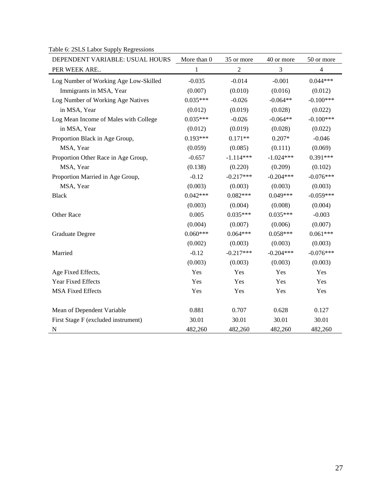Table 6: 2SLS Labor Supply Regressions

| DEPENDENT VARIABLE: USUAL HOURS       | More than 0 | 35 or more     | 40 or more  | 50 or more  |
|---------------------------------------|-------------|----------------|-------------|-------------|
| PER WEEK ARE                          | 1           | $\overline{2}$ | 3           | 4           |
| Log Number of Working Age Low-Skilled | $-0.035$    | $-0.014$       | $-0.001$    | $0.044***$  |
| Immigrants in MSA, Year               | (0.007)     | (0.010)        | (0.016)     | (0.012)     |
| Log Number of Working Age Natives     | $0.035***$  | $-0.026$       | $-0.064**$  | $-0.100***$ |
| in MSA, Year                          | (0.012)     | (0.019)        | (0.028)     | (0.022)     |
| Log Mean Income of Males with College | $0.035***$  | $-0.026$       | $-0.064**$  | $-0.100***$ |
| in MSA, Year                          | (0.012)     | (0.019)        | (0.028)     | (0.022)     |
| Proportion Black in Age Group,        | $0.193***$  | $0.171**$      | $0.207*$    | $-0.046$    |
| MSA, Year                             | (0.059)     | (0.085)        | (0.111)     | (0.069)     |
| Proportion Other Race in Age Group,   | $-0.657$    | $-1.114***$    | $-1.024***$ | $0.391***$  |
| MSA, Year                             | (0.138)     | (0.220)        | (0.209)     | (0.102)     |
| Proportion Married in Age Group,      | $-0.12$     | $-0.217***$    | $-0.204***$ | $-0.076***$ |
| MSA, Year                             | (0.003)     | (0.003)        | (0.003)     | (0.003)     |
| <b>Black</b>                          | $0.042***$  | $0.082***$     | $0.049***$  | $-0.059***$ |
|                                       | (0.003)     | (0.004)        | (0.008)     | (0.004)     |
| Other Race                            | 0.005       | $0.035***$     | $0.035***$  | $-0.003$    |
|                                       | (0.004)     | (0.007)        | (0.006)     | (0.007)     |
| <b>Graduate Degree</b>                | $0.060***$  | $0.064***$     | $0.058***$  | $0.061***$  |
|                                       | (0.002)     | (0.003)        | (0.003)     | (0.003)     |
| Married                               | $-0.12$     | $-0.217***$    | $-0.204***$ | $-0.076***$ |
|                                       | (0.003)     | (0.003)        | (0.003)     | (0.003)     |
| Age Fixed Effects,                    | Yes         | Yes            | Yes         | Yes         |
| Year Fixed Effects                    | Yes         | Yes            | Yes         | Yes         |
| <b>MSA Fixed Effects</b>              | Yes         | Yes            | Yes         | Yes         |
| Mean of Dependent Variable            | 0.881       | 0.707          | 0.628       | 0.127       |
| First Stage F (excluded instrument)   | 30.01       | 30.01          | 30.01       | 30.01       |
| $\mathbf N$                           | 482,260     | 482,260        | 482,260     | 482,260     |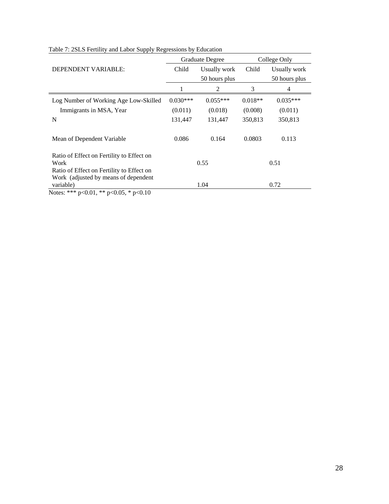|                                                             |            | Graduate Degree | College Only |               |  |
|-------------------------------------------------------------|------------|-----------------|--------------|---------------|--|
| DEPENDENT VARIABLE:                                         | Child      | Usually work    | Child        | Usually work  |  |
|                                                             |            | 50 hours plus   |              | 50 hours plus |  |
|                                                             |            | 2               | 3            | 4             |  |
| Log Number of Working Age Low-Skilled                       | $0.030***$ | $0.055***$      | $0.018**$    | $0.035***$    |  |
| Immigrants in MSA, Year                                     | (0.011)    | (0.018)         | (0.008)      | (0.011)       |  |
| N                                                           | 131,447    | 131,447         | 350,813      | 350,813       |  |
| Mean of Dependent Variable                                  | 0.086      | 0.164           | 0.0803       | 0.113         |  |
| Ratio of Effect on Fertility to Effect on                   |            |                 |              |               |  |
| Work                                                        |            | 0.55            |              | 0.51          |  |
| Ratio of Effect on Fertility to Effect on                   |            |                 |              |               |  |
| Work (adjusted by means of dependent)                       |            |                 |              |               |  |
| variable)<br>$0.01$ della<br>$\bigcap_{i=1}^n$<br>$\sim$ 10 |            | 1.04            |              | 0.72          |  |

| Table 7: 2SLS Fertility and Labor Supply Regressions by Education |  |  |
|-------------------------------------------------------------------|--|--|
|                                                                   |  |  |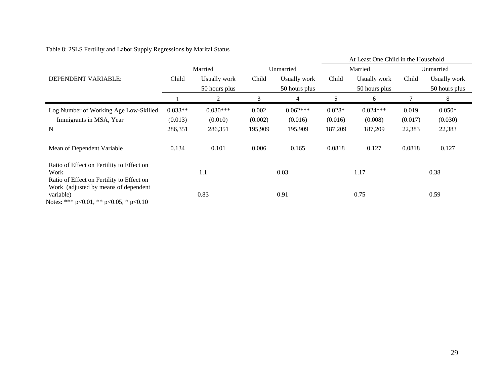|                                                          |           |                |         |               | At Least One Child in the Household |               |           |               |
|----------------------------------------------------------|-----------|----------------|---------|---------------|-------------------------------------|---------------|-----------|---------------|
|                                                          |           | Married        |         | Unmarried     |                                     | Married       | Unmarried |               |
| DEPENDENT VARIABLE:                                      | Child     | Usually work   | Child   | Usually work  | Child                               | Usually work  | Child     | Usually work  |
|                                                          |           | 50 hours plus  |         | 50 hours plus |                                     | 50 hours plus |           | 50 hours plus |
|                                                          |           | $\overline{2}$ | 3       | 4             | 5.                                  | 6             |           | 8             |
| Log Number of Working Age Low-Skilled                    | $0.033**$ | $0.030***$     | 0.002   | $0.062***$    | $0.028*$                            | $0.024***$    | 0.019     | $0.050*$      |
| Immigrants in MSA, Year                                  | (0.013)   | (0.010)        | (0.002) | (0.016)       | (0.016)                             | (0.008)       | (0.017)   | (0.030)       |
| N                                                        | 286,351   | 286,351        | 195,909 | 195,909       | 187,209                             | 187,209       | 22,383    | 22,383        |
| Mean of Dependent Variable                               | 0.134     | 0.101          | 0.006   | 0.165         | 0.0818                              | 0.127         | 0.0818    | 0.127         |
| Ratio of Effect on Fertility to Effect on<br>Work        |           | 1.1            |         | 0.03          |                                     | 1.17          |           | 0.38          |
| Ratio of Effect on Fertility to Effect on                |           |                |         |               |                                     |               |           |               |
| Work (adjusted by means of dependent                     |           |                |         |               |                                     |               |           |               |
| variable)<br>$0.01 \times 10^{-1}$ $0.07 \times 10^{-1}$ |           | 0.83           |         | 0.91          |                                     | 0.75          |           | 0.59          |

## Table 8: 2SLS Fertility and Labor Supply Regressions by Marital Status